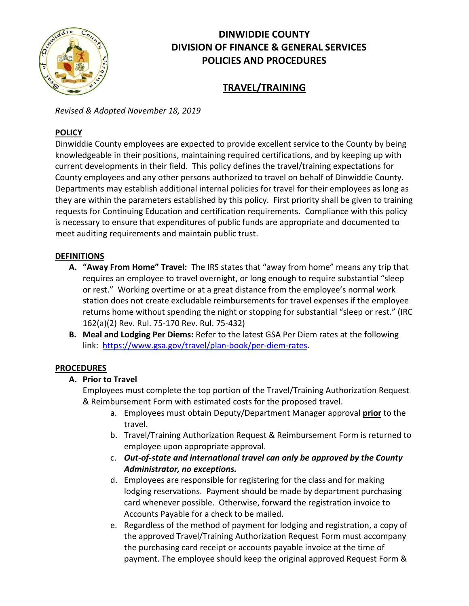

# **DINWIDDIE COUNTY DIVISION OF FINANCE & GENERAL SERVICES POLICIES AND PROCEDURES**

## **TRAVEL/TRAINING**

*Revised & Adopted November 18, 2019*

#### **POLICY**

Dinwiddie County employees are expected to provide excellent service to the County by being knowledgeable in their positions, maintaining required certifications, and by keeping up with current developments in their field. This policy defines the travel/training expectations for County employees and any other persons authorized to travel on behalf of Dinwiddie County. Departments may establish additional internal policies for travel for their employees as long as they are within the parameters established by this policy. First priority shall be given to training requests for Continuing Education and certification requirements. Compliance with this policy is necessary to ensure that expenditures of public funds are appropriate and documented to meet auditing requirements and maintain public trust.

#### **DEFINITIONS**

- **A. "Away From Home" Travel:** The IRS states that "away from home" means any trip that requires an employee to travel overnight, or long enough to require substantial "sleep or rest." Working overtime or at a great distance from the employee's normal work station does not create excludable reimbursements for travel expenses if the employee returns home without spending the night or stopping for substantial "sleep or rest." (IRC 162(a)(2) Rev. Rul. 75-170 Rev. Rul. 75-432)
- **B. Meal and Lodging Per Diems:** Refer to the latest GSA Per Diem rates at the following link: [https://www.gsa.gov/travel/plan-book/per-diem-rates.](https://www.gsa.gov/travel/plan-book/per-diem-rates)

#### **PROCEDURES**

#### **A. Prior to Travel**

Employees must complete the top portion of the Travel/Training Authorization Request & Reimbursement Form with estimated costs for the proposed travel.

- a. Employees must obtain Deputy/Department Manager approval **prior** to the travel.
- b. Travel/Training Authorization Request & Reimbursement Form is returned to employee upon appropriate approval.
- c. *Out-of-state and international travel can only be approved by the County Administrator, no exceptions.*
- d. Employees are responsible for registering for the class and for making lodging reservations. Payment should be made by department purchasing card whenever possible. Otherwise, forward the registration invoice to Accounts Payable for a check to be mailed.
- e. Regardless of the method of payment for lodging and registration, a copy of the approved Travel/Training Authorization Request Form must accompany the purchasing card receipt or accounts payable invoice at the time of payment. The employee should keep the original approved Request Form &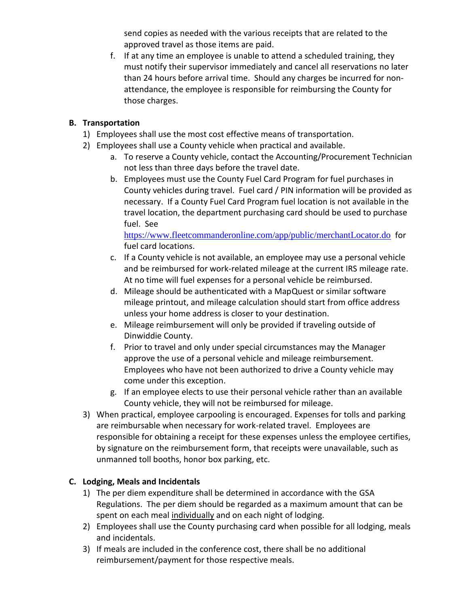send copies as needed with the various receipts that are related to the approved travel as those items are paid.

f. If at any time an employee is unable to attend a scheduled training, they must notify their supervisor immediately and cancel all reservations no later than 24 hours before arrival time. Should any charges be incurred for nonattendance, the employee is responsible for reimbursing the County for those charges.

#### **B. Transportation**

- 1) Employees shall use the most cost effective means of transportation.
- 2) Employees shall use a County vehicle when practical and available.
	- a. To reserve a County vehicle, contact the Accounting/Procurement Technician not less than three days before the travel date.
	- b. Employees must use the County Fuel Card Program for fuel purchases in County vehicles during travel. Fuel card / PIN information will be provided as necessary. If a County Fuel Card Program fuel location is not available in the travel location, the department purchasing card should be used to purchase fuel. See

<https://www.fleetcommanderonline.com/app/public/merchantLocator.do> for fuel card locations.

- c. If a County vehicle is not available, an employee may use a personal vehicle and be reimbursed for work-related mileage at the current IRS mileage rate. At no time will fuel expenses for a personal vehicle be reimbursed.
- d. Mileage should be authenticated with a MapQuest or similar software mileage printout, and mileage calculation should start from office address unless your home address is closer to your destination.
- e. Mileage reimbursement will only be provided if traveling outside of Dinwiddie County.
- f. Prior to travel and only under special circumstances may the Manager approve the use of a personal vehicle and mileage reimbursement. Employees who have not been authorized to drive a County vehicle may come under this exception.
- g. If an employee elects to use their personal vehicle rather than an available County vehicle, they will not be reimbursed for mileage.
- 3) When practical, employee carpooling is encouraged. Expenses for tolls and parking are reimbursable when necessary for work-related travel. Employees are responsible for obtaining a receipt for these expenses unless the employee certifies, by signature on the reimbursement form, that receipts were unavailable, such as unmanned toll booths, honor box parking, etc.

### **C. Lodging, Meals and Incidentals**

- 1) The per diem expenditure shall be determined in accordance with the GSA Regulations. The per diem should be regarded as a maximum amount that can be spent on each meal individually and on each night of lodging.
- 2) Employees shall use the County purchasing card when possible for all lodging, meals and incidentals.
- 3) If meals are included in the conference cost, there shall be no additional reimbursement/payment for those respective meals.